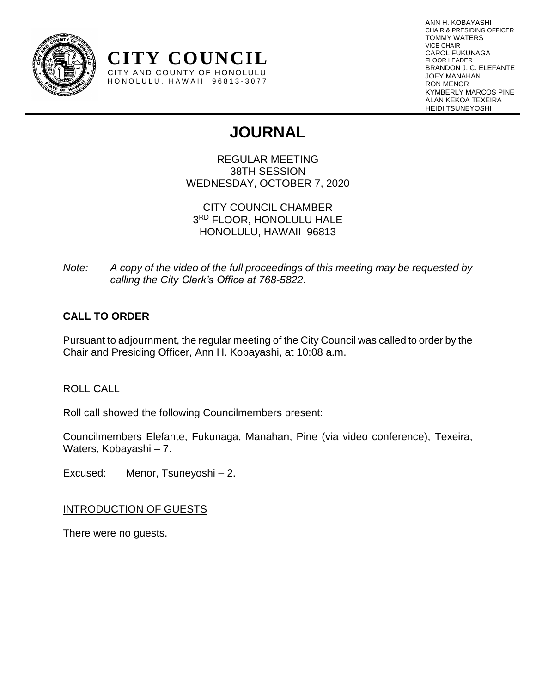

ANN H. KOBAYASHI CHAIR & PRESIDING OFFICER TOMMY WATERS VICE CHAIR CAROL FUKUNAGA FLOOR LEADER BRANDON J. C. ELEFANTE JOEY MANAHAN RON MENOR KYMBERLY MARCOS PINE ALAN KEKOA TEXEIRA HEIDI TSUNEYOSHI

# **JOURNAL**

REGULAR MEETING 38TH SESSION WEDNESDAY, OCTOBER 7, 2020

CITY COUNCIL CHAMBER 3 RD FLOOR, HONOLULU HALE HONOLULU, HAWAII 96813

*Note: A copy of the video of the full proceedings of this meeting may be requested by calling the City Clerk's Office at 768-5822.*

# **CALL TO ORDER**

Pursuant to adjournment, the regular meeting of the City Council was called to order by the Chair and Presiding Officer, Ann H. Kobayashi, at 10:08 a.m.

# ROLL CALL

Roll call showed the following Councilmembers present:

**CITY COUNCIL** CITY AND COUNTY OF HONOLULU HONOLULU, HAWAII 96813-3077

Councilmembers Elefante, Fukunaga, Manahan, Pine (via video conference), Texeira, Waters, Kobayashi – 7.

Excused: Menor, Tsuneyoshi – 2.

# INTRODUCTION OF GUESTS

There were no guests.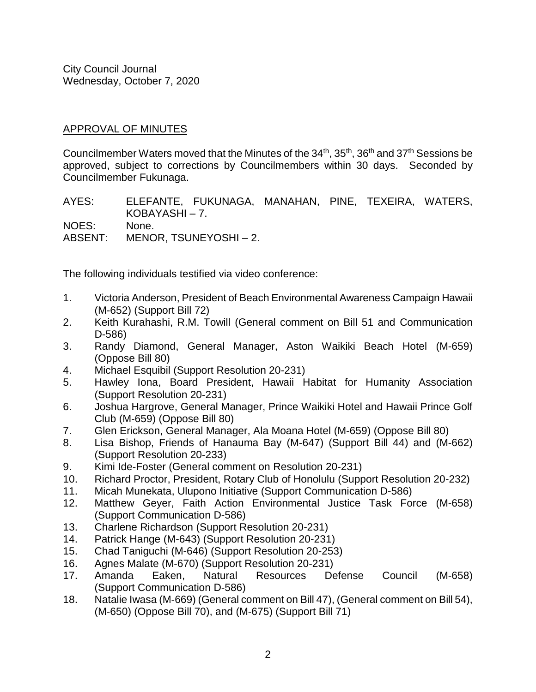# APPROVAL OF MINUTES

Councilmember Waters moved that the Minutes of the 34<sup>th</sup>, 35<sup>th</sup>, 36<sup>th</sup> and 37<sup>th</sup> Sessions be approved, subject to corrections by Councilmembers within 30 days. Seconded by Councilmember Fukunaga.

AYES: ELEFANTE, FUKUNAGA, MANAHAN, PINE, TEXEIRA, WATERS, KOBAYASHI – 7. NOES: None. ABSENT: MENOR, TSUNEYOSHI – 2.

The following individuals testified via video conference:

- 1. Victoria Anderson, President of Beach Environmental Awareness Campaign Hawaii (M-652) (Support Bill 72)
- 2. Keith Kurahashi, R.M. Towill (General comment on Bill 51 and Communication D-586)
- 3. Randy Diamond, General Manager, Aston Waikiki Beach Hotel (M-659) (Oppose Bill 80)
- 4. Michael Esquibil (Support Resolution 20-231)
- 5. Hawley Iona, Board President, Hawaii Habitat for Humanity Association (Support Resolution 20-231)
- 6. Joshua Hargrove, General Manager, Prince Waikiki Hotel and Hawaii Prince Golf Club (M-659) (Oppose Bill 80)
- 7. Glen Erickson, General Manager, Ala Moana Hotel (M-659) (Oppose Bill 80)
- 8. Lisa Bishop, Friends of Hanauma Bay (M-647) (Support Bill 44) and (M-662) (Support Resolution 20-233)
- 9. Kimi Ide-Foster (General comment on Resolution 20-231)
- 10. Richard Proctor, President, Rotary Club of Honolulu (Support Resolution 20-232)
- 11. Micah Munekata, Ulupono Initiative (Support Communication D-586)
- 12. Matthew Geyer, Faith Action Environmental Justice Task Force (M-658) (Support Communication D-586)
- 13. Charlene Richardson (Support Resolution 20-231)
- 14. Patrick Hange (M-643) (Support Resolution 20-231)
- 15. Chad Taniguchi (M-646) (Support Resolution 20-253)
- 16. Agnes Malate (M-670) (Support Resolution 20-231)
- 17. Amanda Eaken, Natural Resources Defense Council (M-658) (Support Communication D-586)
- 18. Natalie Iwasa (M-669) (General comment on Bill 47), (General comment on Bill 54), (M-650) (Oppose Bill 70), and (M-675) (Support Bill 71)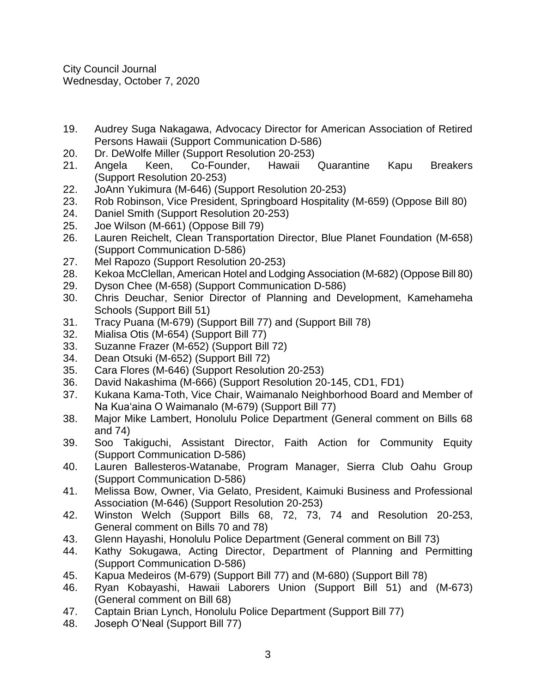- 19. Audrey Suga Nakagawa, Advocacy Director for American Association of Retired Persons Hawaii (Support Communication D-586)
- 20. Dr. DeWolfe Miller (Support Resolution 20-253)
- 21. Angela Keen, Co-Founder, Hawaii Quarantine Kapu Breakers (Support Resolution 20-253)
- 22. JoAnn Yukimura (M-646) (Support Resolution 20-253)
- 23. Rob Robinson, Vice President, Springboard Hospitality (M-659) (Oppose Bill 80)
- 24. Daniel Smith (Support Resolution 20-253)
- 25. Joe Wilson (M-661) (Oppose Bill 79)
- 26. Lauren Reichelt, Clean Transportation Director, Blue Planet Foundation (M-658) (Support Communication D-586)
- 27. Mel Rapozo (Support Resolution 20-253)
- 28. Kekoa McClellan, American Hotel and Lodging Association (M-682) (Oppose Bill 80)
- 29. Dyson Chee (M-658) (Support Communication D-586)
- 30. Chris Deuchar, Senior Director of Planning and Development, Kamehameha Schools (Support Bill 51)
- 31. Tracy Puana (M-679) (Support Bill 77) and (Support Bill 78)
- 32. Mialisa Otis (M-654) (Support Bill 77)
- 33. Suzanne Frazer (M-652) (Support Bill 72)
- 34. Dean Otsuki (M-652) (Support Bill 72)
- 35. Cara Flores (M-646) (Support Resolution 20-253)
- 36. David Nakashima (M-666) (Support Resolution 20-145, CD1, FD1)
- 37. Kukana Kama-Toth, Vice Chair, Waimanalo Neighborhood Board and Member of Na Kua'aina O Waimanalo (M-679) (Support Bill 77)
- 38. Major Mike Lambert, Honolulu Police Department (General comment on Bills 68 and 74)
- 39. Soo Takiguchi, Assistant Director, Faith Action for Community Equity (Support Communication D-586)
- 40. Lauren Ballesteros-Watanabe, Program Manager, Sierra Club Oahu Group (Support Communication D-586)
- 41. Melissa Bow, Owner, Via Gelato, President, Kaimuki Business and Professional Association (M-646) (Support Resolution 20-253)
- 42. Winston Welch (Support Bills 68, 72, 73, 74 and Resolution 20-253, General comment on Bills 70 and 78)
- 43. Glenn Hayashi, Honolulu Police Department (General comment on Bill 73)
- 44. Kathy Sokugawa, Acting Director, Department of Planning and Permitting (Support Communication D-586)
- 45. Kapua Medeiros (M-679) (Support Bill 77) and (M-680) (Support Bill 78)
- 46. Ryan Kobayashi, Hawaii Laborers Union (Support Bill 51) and (M-673) (General comment on Bill 68)
- 47. Captain Brian Lynch, Honolulu Police Department (Support Bill 77)
- 48. Joseph O'Neal (Support Bill 77)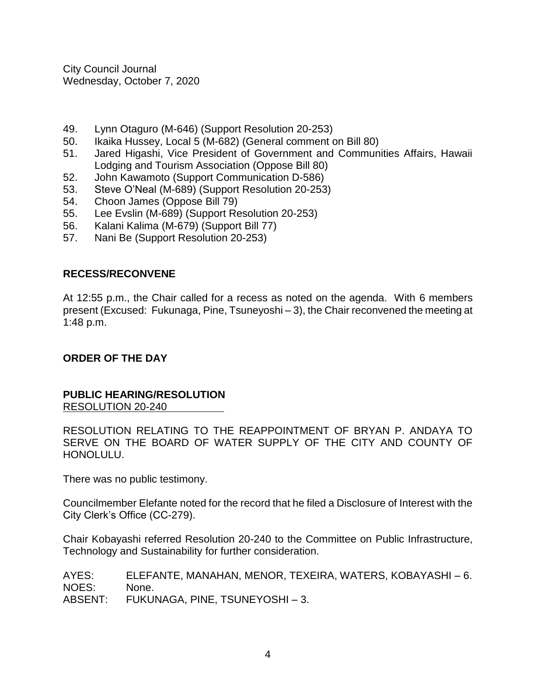- 49. Lynn Otaguro (M-646) (Support Resolution 20-253)
- 50. Ikaika Hussey, Local 5 (M-682) (General comment on Bill 80)
- 51. Jared Higashi, Vice President of Government and Communities Affairs, Hawaii Lodging and Tourism Association (Oppose Bill 80)
- 52. John Kawamoto (Support Communication D-586)
- 53. Steve O'Neal (M-689) (Support Resolution 20-253)
- 54. Choon James (Oppose Bill 79)
- 55. Lee Evslin (M-689) (Support Resolution 20-253)
- 56. Kalani Kalima (M-679) (Support Bill 77)
- 57. Nani Be (Support Resolution 20-253)

# **RECESS/RECONVENE**

At 12:55 p.m., the Chair called for a recess as noted on the agenda. With 6 members present (Excused: Fukunaga, Pine, Tsuneyoshi – 3), the Chair reconvened the meeting at 1:48 p.m.

# **ORDER OF THE DAY**

#### **PUBLIC HEARING/RESOLUTION** RESOLUTION 20-240

RESOLUTION RELATING TO THE REAPPOINTMENT OF BRYAN P. ANDAYA TO SERVE ON THE BOARD OF WATER SUPPLY OF THE CITY AND COUNTY OF HONOLULU.

There was no public testimony.

Councilmember Elefante noted for the record that he filed a Disclosure of Interest with the City Clerk's Office (CC-279).

Chair Kobayashi referred Resolution 20-240 to the Committee on Public Infrastructure, Technology and Sustainability for further consideration.

AYES: ELEFANTE, MANAHAN, MENOR, TEXEIRA, WATERS, KOBAYASHI – 6. NOES: None. ABSENT: FUKUNAGA, PINE, TSUNEYOSHI – 3.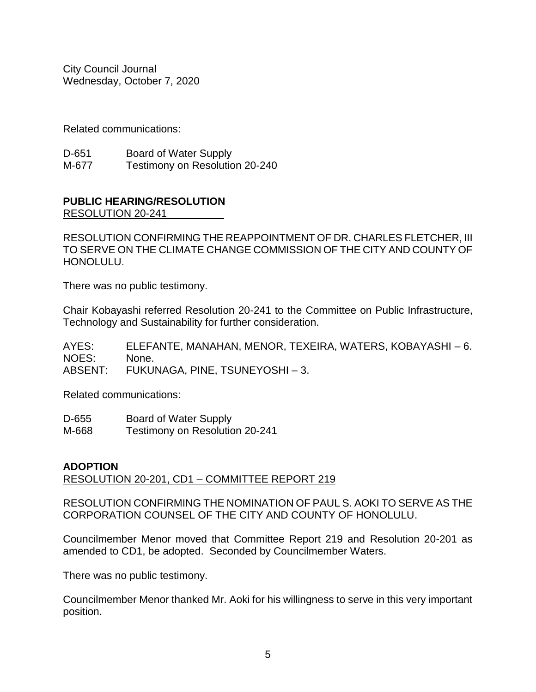Related communications:

| D-651 | Board of Water Supply          |
|-------|--------------------------------|
| M-677 | Testimony on Resolution 20-240 |

# **PUBLIC HEARING/RESOLUTION**

RESOLUTION 20-241

RESOLUTION CONFIRMING THE REAPPOINTMENT OF DR. CHARLES FLETCHER, III TO SERVE ON THE CLIMATE CHANGE COMMISSION OF THE CITY AND COUNTY OF HONOLULU.

There was no public testimony.

Chair Kobayashi referred Resolution 20-241 to the Committee on Public Infrastructure, Technology and Sustainability for further consideration.

AYES: ELEFANTE, MANAHAN, MENOR, TEXEIRA, WATERS, KOBAYASHI – 6. NOES: None. ABSENT: FUKUNAGA, PINE, TSUNEYOSHI – 3.

Related communications:

| D-655 | <b>Board of Water Supply</b>   |
|-------|--------------------------------|
| M-668 | Testimony on Resolution 20-241 |

# **ADOPTION**

RESOLUTION 20-201, CD1 – COMMITTEE REPORT 219

RESOLUTION CONFIRMING THE NOMINATION OF PAUL S. AOKI TO SERVE AS THE CORPORATION COUNSEL OF THE CITY AND COUNTY OF HONOLULU.

Councilmember Menor moved that Committee Report 219 and Resolution 20-201 as amended to CD1, be adopted. Seconded by Councilmember Waters.

There was no public testimony.

Councilmember Menor thanked Mr. Aoki for his willingness to serve in this very important position.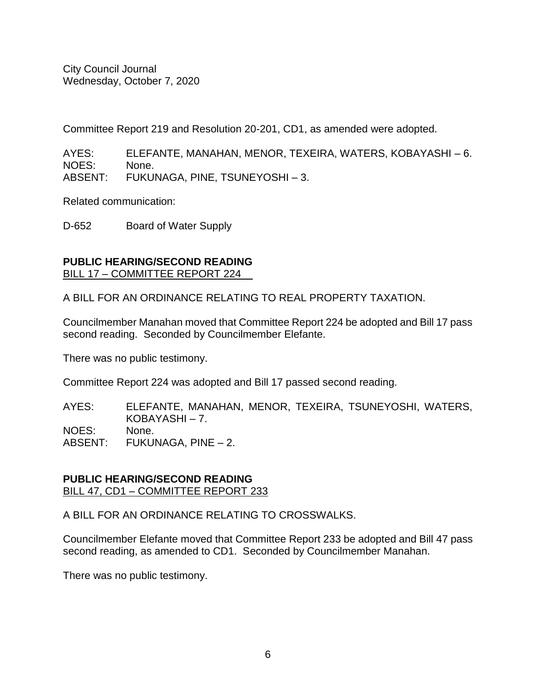Committee Report 219 and Resolution 20-201, CD1, as amended were adopted.

AYES: ELEFANTE, MANAHAN, MENOR, TEXEIRA, WATERS, KOBAYASHI – 6. NOES: None. ABSENT: FUKUNAGA, PINE, TSUNEYOSHI – 3.

Related communication:

D-652 Board of Water Supply

### **PUBLIC HEARING/SECOND READING** BILL 17 – COMMITTEE REPORT 224

A BILL FOR AN ORDINANCE RELATING TO REAL PROPERTY TAXATION.

Councilmember Manahan moved that Committee Report 224 be adopted and Bill 17 pass second reading. Seconded by Councilmember Elefante.

There was no public testimony.

Committee Report 224 was adopted and Bill 17 passed second reading.

AYES: ELEFANTE, MANAHAN, MENOR, TEXEIRA, TSUNEYOSHI, WATERS, KOBAYASHI – 7. NOES: None. ABSENT: FUKUNAGA, PINE – 2.

#### **PUBLIC HEARING/SECOND READING** BILL 47, CD1 – COMMITTEE REPORT 233

A BILL FOR AN ORDINANCE RELATING TO CROSSWALKS.

Councilmember Elefante moved that Committee Report 233 be adopted and Bill 47 pass second reading, as amended to CD1. Seconded by Councilmember Manahan.

There was no public testimony.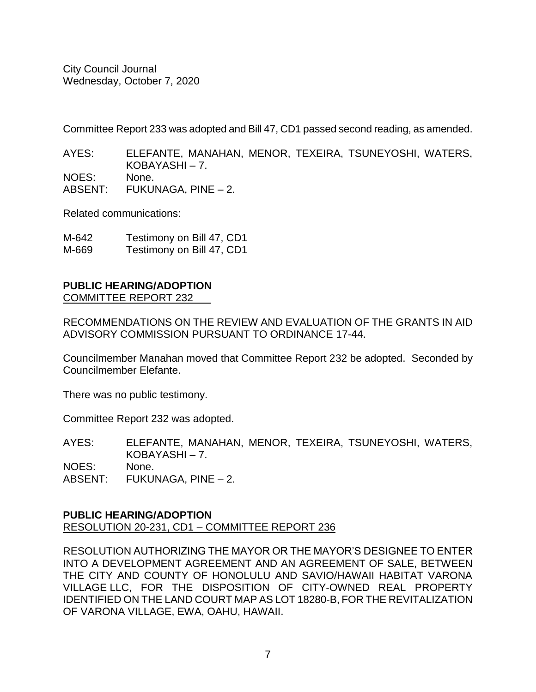Committee Report 233 was adopted and Bill 47, CD1 passed second reading, as amended.

AYES: ELEFANTE, MANAHAN, MENOR, TEXEIRA, TSUNEYOSHI, WATERS, KOBAYASHI – 7. NOES: None.

ABSENT: FUKUNAGA, PINE – 2.

Related communications:

| M-642 | Testimony on Bill 47, CD1 |
|-------|---------------------------|
| M-669 | Testimony on Bill 47, CD1 |

#### **PUBLIC HEARING/ADOPTION** COMMITTEE REPORT 232

RECOMMENDATIONS ON THE REVIEW AND EVALUATION OF THE GRANTS IN AID ADVISORY COMMISSION PURSUANT TO ORDINANCE 17-44.

Councilmember Manahan moved that Committee Report 232 be adopted. Seconded by Councilmember Elefante.

There was no public testimony.

Committee Report 232 was adopted.

AYES: ELEFANTE, MANAHAN, MENOR, TEXEIRA, TSUNEYOSHI, WATERS, KOBAYASHI – 7. NOES: None. ABSENT: FUKUNAGA, PINE – 2.

#### **PUBLIC HEARING/ADOPTION** RESOLUTION 20-231, CD1 – COMMITTEE REPORT 236

RESOLUTION AUTHORIZING THE MAYOR OR THE MAYOR'S DESIGNEE TO ENTER INTO A DEVELOPMENT AGREEMENT AND AN AGREEMENT OF SALE, BETWEEN THE CITY AND COUNTY OF HONOLULU AND SAVIO/HAWAII HABITAT VARONA VILLAGE LLC, FOR THE DISPOSITION OF CITY-OWNED REAL PROPERTY IDENTIFIED ON THE LAND COURT MAP AS LOT 18280-B, FOR THE REVITALIZATION OF VARONA VILLAGE, EWA, OAHU, HAWAII.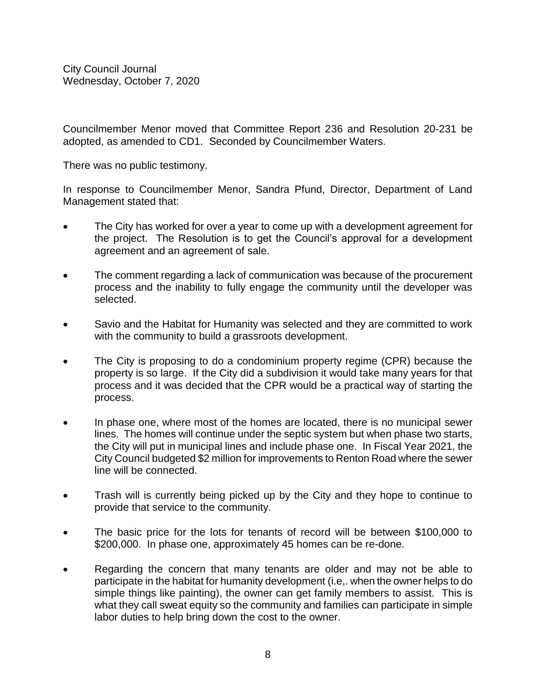Councilmember Menor moved that Committee Report 236 and Resolution 20-231 be adopted, as amended to CD1. Seconded by Councilmember Waters.

There was no public testimony.

In response to Councilmember Menor, Sandra Pfund, Director, Department of Land Management stated that:

- The City has worked for over a year to come up with a development agreement for the project. The Resolution is to get the Council's approval for a development agreement and an agreement of sale.
- The comment regarding a lack of communication was because of the procurement process and the inability to fully engage the community until the developer was selected.
- Savio and the Habitat for Humanity was selected and they are committed to work with the community to build a grassroots development.
- The City is proposing to do a condominium property regime (CPR) because the property is so large. If the City did a subdivision it would take many years for that process and it was decided that the CPR would be a practical way of starting the process.
- In phase one, where most of the homes are located, there is no municipal sewer lines. The homes will continue under the septic system but when phase two starts, the City will put in municipal lines and include phase one. In Fiscal Year 2021, the City Council budgeted \$2 million for improvements to Renton Road where the sewer line will be connected.
- Trash will is currently being picked up by the City and they hope to continue to provide that service to the community.
- The basic price for the lots for tenants of record will be between \$100,000 to \$200,000. In phase one, approximately 45 homes can be re-done.
- Regarding the concern that many tenants are older and may not be able to participate in the habitat for humanity development (i.e,. when the owner helps to do simple things like painting), the owner can get family members to assist. This is what they call sweat equity so the community and families can participate in simple labor duties to help bring down the cost to the owner.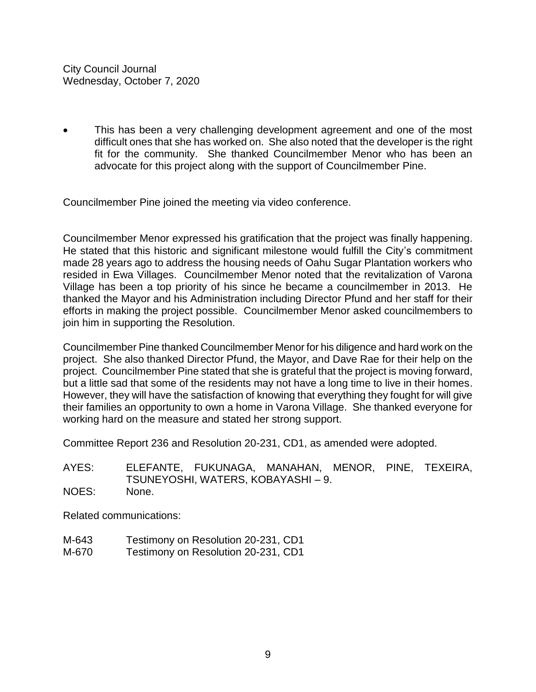This has been a very challenging development agreement and one of the most difficult ones that she has worked on. She also noted that the developer is the right fit for the community. She thanked Councilmember Menor who has been an advocate for this project along with the support of Councilmember Pine.

Councilmember Pine joined the meeting via video conference.

Councilmember Menor expressed his gratification that the project was finally happening. He stated that this historic and significant milestone would fulfill the City's commitment made 28 years ago to address the housing needs of Oahu Sugar Plantation workers who resided in Ewa Villages. Councilmember Menor noted that the revitalization of Varona Village has been a top priority of his since he became a councilmember in 2013. He thanked the Mayor and his Administration including Director Pfund and her staff for their efforts in making the project possible. Councilmember Menor asked councilmembers to join him in supporting the Resolution.

Councilmember Pine thanked Councilmember Menor for his diligence and hard work on the project. She also thanked Director Pfund, the Mayor, and Dave Rae for their help on the project. Councilmember Pine stated that she is grateful that the project is moving forward, but a little sad that some of the residents may not have a long time to live in their homes. However, they will have the satisfaction of knowing that everything they fought for will give their families an opportunity to own a home in Varona Village. She thanked everyone for working hard on the measure and stated her strong support.

Committee Report 236 and Resolution 20-231, CD1, as amended were adopted.

AYES: ELEFANTE, FUKUNAGA, MANAHAN, MENOR, PINE, TEXEIRA, TSUNEYOSHI, WATERS, KOBAYASHI – 9. NOES: None.

Related communications:

- M-643 Testimony on Resolution 20-231, CD1
- M-670 Testimony on Resolution 20-231, CD1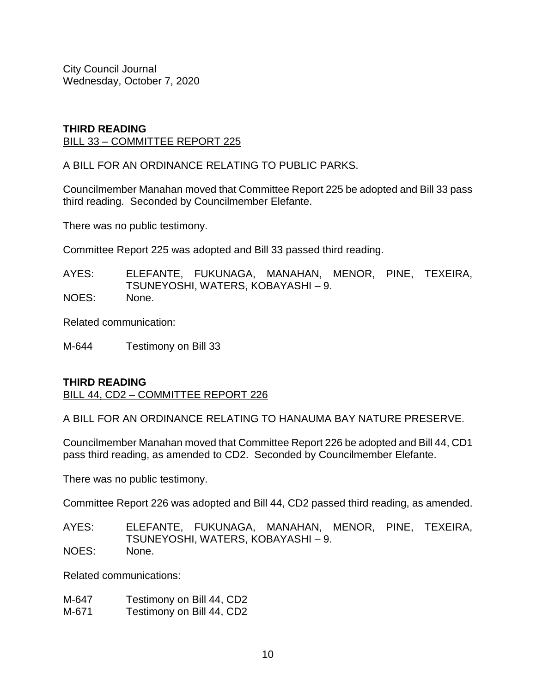#### **THIRD READING** BILL 33 – COMMITTEE REPORT 225

A BILL FOR AN ORDINANCE RELATING TO PUBLIC PARKS.

Councilmember Manahan moved that Committee Report 225 be adopted and Bill 33 pass third reading. Seconded by Councilmember Elefante.

There was no public testimony.

Committee Report 225 was adopted and Bill 33 passed third reading.

AYES: ELEFANTE, FUKUNAGA, MANAHAN, MENOR, PINE, TEXEIRA, TSUNEYOSHI, WATERS, KOBAYASHI – 9. NOES: None.

Related communication:

M-644 Testimony on Bill 33

#### **THIRD READING**

BILL 44, CD2 – COMMITTEE REPORT 226

A BILL FOR AN ORDINANCE RELATING TO HANAUMA BAY NATURE PRESERVE.

Councilmember Manahan moved that Committee Report 226 be adopted and Bill 44, CD1 pass third reading, as amended to CD2. Seconded by Councilmember Elefante.

There was no public testimony.

Committee Report 226 was adopted and Bill 44, CD2 passed third reading, as amended.

AYES: ELEFANTE, FUKUNAGA, MANAHAN, MENOR, PINE, TEXEIRA, TSUNEYOSHI, WATERS, KOBAYASHI – 9. NOES: None.

Related communications:

M-647 Testimony on Bill 44, CD2 M-671 Testimony on Bill 44, CD2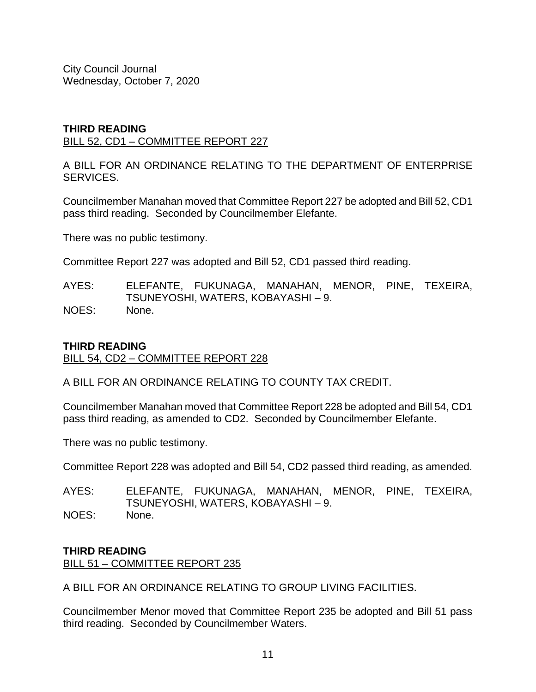#### **THIRD READING** BILL 52, CD1 – COMMITTEE REPORT 227

A BILL FOR AN ORDINANCE RELATING TO THE DEPARTMENT OF ENTERPRISE SERVICES.

Councilmember Manahan moved that Committee Report 227 be adopted and Bill 52, CD1 pass third reading. Seconded by Councilmember Elefante.

There was no public testimony.

Committee Report 227 was adopted and Bill 52, CD1 passed third reading.

AYES: ELEFANTE, FUKUNAGA, MANAHAN, MENOR, PINE, TEXEIRA, TSUNEYOSHI, WATERS, KOBAYASHI – 9. NOES: None.

# **THIRD READING**

BILL 54, CD2 – COMMITTEE REPORT 228

A BILL FOR AN ORDINANCE RELATING TO COUNTY TAX CREDIT.

Councilmember Manahan moved that Committee Report 228 be adopted and Bill 54, CD1 pass third reading, as amended to CD2. Seconded by Councilmember Elefante.

There was no public testimony.

Committee Report 228 was adopted and Bill 54, CD2 passed third reading, as amended.

AYES: ELEFANTE, FUKUNAGA, MANAHAN, MENOR, PINE, TEXEIRA, TSUNEYOSHI, WATERS, KOBAYASHI – 9. NOES: None.

#### **THIRD READING**

BILL 51 – COMMITTEE REPORT 235

A BILL FOR AN ORDINANCE RELATING TO GROUP LIVING FACILITIES.

Councilmember Menor moved that Committee Report 235 be adopted and Bill 51 pass third reading. Seconded by Councilmember Waters.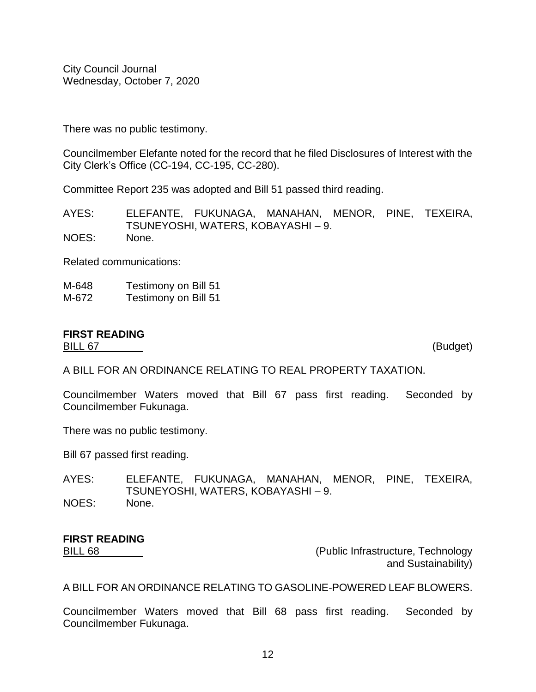There was no public testimony.

Councilmember Elefante noted for the record that he filed Disclosures of Interest with the City Clerk's Office (CC-194, CC-195, CC-280).

Committee Report 235 was adopted and Bill 51 passed third reading.

AYES: ELEFANTE, FUKUNAGA, MANAHAN, MENOR, PINE, TEXEIRA, TSUNEYOSHI, WATERS, KOBAYASHI – 9. NOES: None.

Related communications:

M-648 Testimony on Bill 51 M-672 Testimony on Bill 51

# **FIRST READING**

BILL 67 (Budget)

A BILL FOR AN ORDINANCE RELATING TO REAL PROPERTY TAXATION.

Councilmember Waters moved that Bill 67 pass first reading. Seconded by Councilmember Fukunaga.

There was no public testimony.

Bill 67 passed first reading.

AYES: ELEFANTE, FUKUNAGA, MANAHAN, MENOR, PINE, TEXEIRA, TSUNEYOSHI, WATERS, KOBAYASHI – 9. NOES: None.

# **FIRST READING**

BILL 68 (Public Infrastructure, Technology and Sustainability)

A BILL FOR AN ORDINANCE RELATING TO GASOLINE-POWERED LEAF BLOWERS.

Councilmember Waters moved that Bill 68 pass first reading. Seconded by Councilmember Fukunaga.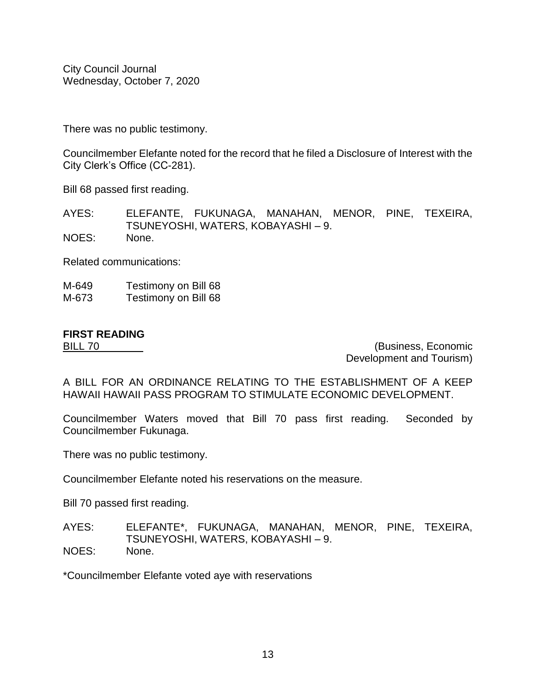There was no public testimony.

Councilmember Elefante noted for the record that he filed a Disclosure of Interest with the City Clerk's Office (CC-281).

Bill 68 passed first reading.

AYES: ELEFANTE, FUKUNAGA, MANAHAN, MENOR, PINE, TEXEIRA, TSUNEYOSHI, WATERS, KOBAYASHI – 9.

NOES: None.

Related communications:

M-649 Testimony on Bill 68 M-673 Testimony on Bill 68

# **FIRST READING**

BILL 70 (Business, Economic Development and Tourism)

A BILL FOR AN ORDINANCE RELATING TO THE ESTABLISHMENT OF A KEEP HAWAII HAWAII PASS PROGRAM TO STIMULATE ECONOMIC DEVELOPMENT.

Councilmember Waters moved that Bill 70 pass first reading. Seconded by Councilmember Fukunaga.

There was no public testimony.

Councilmember Elefante noted his reservations on the measure.

Bill 70 passed first reading.

AYES: ELEFANTE\*, FUKUNAGA, MANAHAN, MENOR, PINE, TEXEIRA, TSUNEYOSHI, WATERS, KOBAYASHI – 9.

NOES: None.

\*Councilmember Elefante voted aye with reservations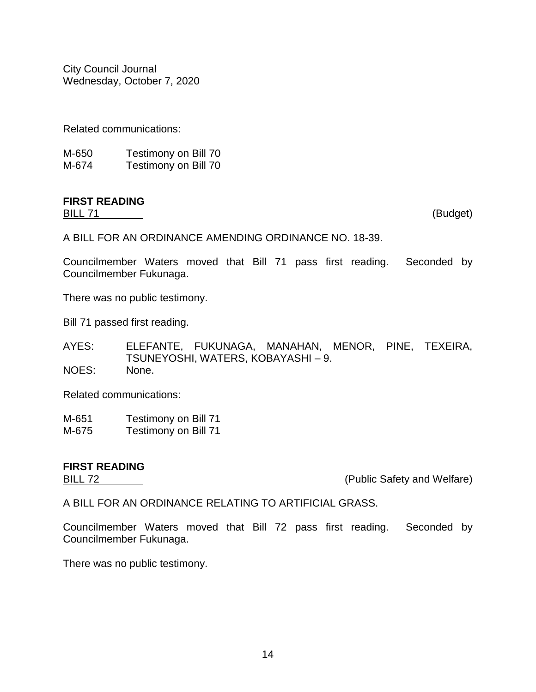Related communications:

| M-650 | Testimony on Bill 70 |
|-------|----------------------|
| M-674 | Testimony on Bill 70 |

# **FIRST READING**

BILL 71 (Budget)

A BILL FOR AN ORDINANCE AMENDING ORDINANCE NO. 18-39.

Councilmember Waters moved that Bill 71 pass first reading. Seconded by Councilmember Fukunaga.

There was no public testimony.

Bill 71 passed first reading.

AYES: ELEFANTE, FUKUNAGA, MANAHAN, MENOR, PINE, TEXEIRA, TSUNEYOSHI, WATERS, KOBAYASHI – 9. NOES: None.

Related communications:

M-651 Testimony on Bill 71

M-675 Testimony on Bill 71

# **FIRST READING**

BILL 72 **EXECUTE:** The Solution of the CONDICTION (Public Safety and Welfare)

A BILL FOR AN ORDINANCE RELATING TO ARTIFICIAL GRASS.

Councilmember Waters moved that Bill 72 pass first reading. Seconded by Councilmember Fukunaga.

There was no public testimony.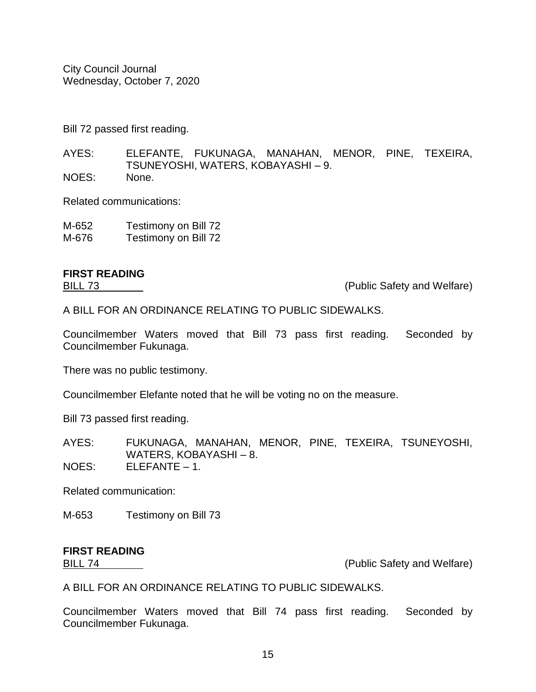Bill 72 passed first reading.

AYES: ELEFANTE, FUKUNAGA, MANAHAN, MENOR, PINE, TEXEIRA, TSUNEYOSHI, WATERS, KOBAYASHI – 9. NOES: None.

Related communications:

M-652 Testimony on Bill 72 M-676 Testimony on Bill 72

# **FIRST READING**

BILL 73 (Public Safety and Welfare)

A BILL FOR AN ORDINANCE RELATING TO PUBLIC SIDEWALKS.

Councilmember Waters moved that Bill 73 pass first reading. Seconded by Councilmember Fukunaga.

There was no public testimony.

Councilmember Elefante noted that he will be voting no on the measure.

Bill 73 passed first reading.

AYES: FUKUNAGA, MANAHAN, MENOR, PINE, TEXEIRA, TSUNEYOSHI, WATERS, KOBAYASHI – 8.

NOES: ELEFANTE – 1.

Related communication:

M-653 Testimony on Bill 73

# **FIRST READING**

BILL 74 (Public Safety and Welfare)

A BILL FOR AN ORDINANCE RELATING TO PUBLIC SIDEWALKS.

Councilmember Waters moved that Bill 74 pass first reading. Seconded by Councilmember Fukunaga.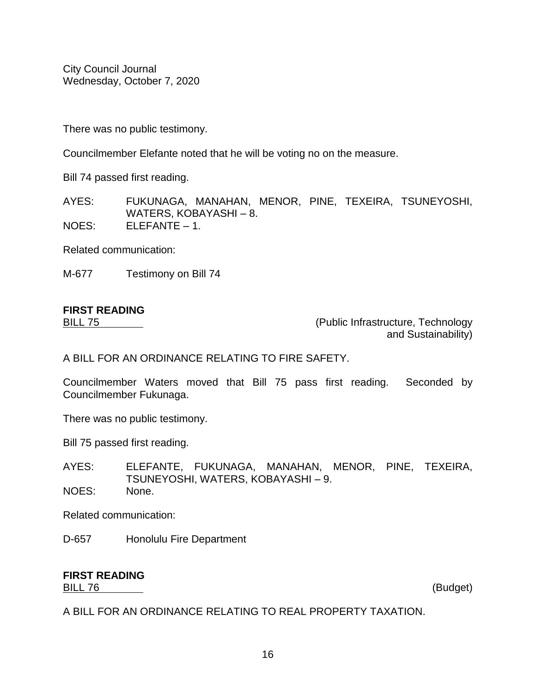There was no public testimony.

Councilmember Elefante noted that he will be voting no on the measure.

Bill 74 passed first reading.

AYES: FUKUNAGA, MANAHAN, MENOR, PINE, TEXEIRA, TSUNEYOSHI, WATERS, KOBAYASHI – 8. NOES: ELEFANTE – 1.

Related communication:

M-677 Testimony on Bill 74

# **FIRST READING**

BILL 75 (Public Infrastructure, Technology and Sustainability)

A BILL FOR AN ORDINANCE RELATING TO FIRE SAFETY.

Councilmember Waters moved that Bill 75 pass first reading. Seconded by Councilmember Fukunaga.

There was no public testimony.

Bill 75 passed first reading.

AYES: ELEFANTE, FUKUNAGA, MANAHAN, MENOR, PINE, TEXEIRA, TSUNEYOSHI, WATERS, KOBAYASHI – 9. NOES: None.

Related communication:

D-657 Honolulu Fire Department

#### **FIRST READING** BILL 76 (Budget)

A BILL FOR AN ORDINANCE RELATING TO REAL PROPERTY TAXATION.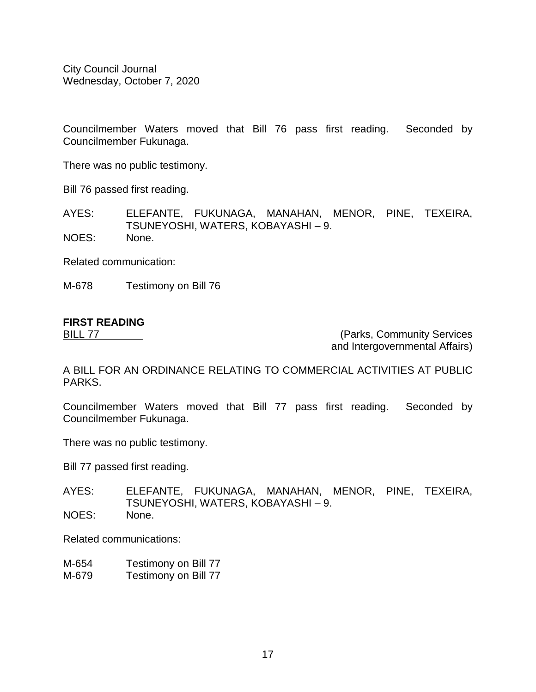Councilmember Waters moved that Bill 76 pass first reading. Seconded by Councilmember Fukunaga.

There was no public testimony.

Bill 76 passed first reading.

AYES: ELEFANTE, FUKUNAGA, MANAHAN, MENOR, PINE, TEXEIRA, TSUNEYOSHI, WATERS, KOBAYASHI – 9.

NOES: None.

Related communication:

M-678 Testimony on Bill 76

# **FIRST READING**

BILL 77 (Parks, Community Services and Intergovernmental Affairs)

A BILL FOR AN ORDINANCE RELATING TO COMMERCIAL ACTIVITIES AT PUBLIC PARKS.

Councilmember Waters moved that Bill 77 pass first reading. Seconded by Councilmember Fukunaga.

There was no public testimony.

Bill 77 passed first reading.

AYES: ELEFANTE, FUKUNAGA, MANAHAN, MENOR, PINE, TEXEIRA, TSUNEYOSHI, WATERS, KOBAYASHI – 9. NOES: None.

Related communications:

- M-654 Testimony on Bill 77
- M-679 Testimony on Bill 77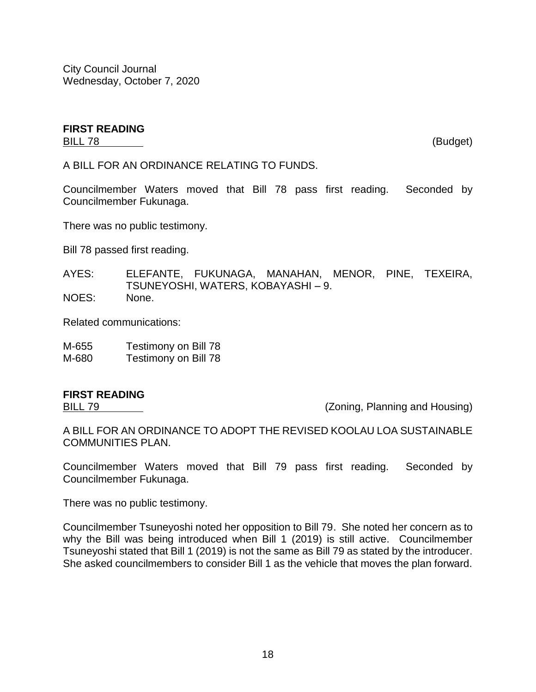#### **FIRST READING** BILL 78 (Budget)

A BILL FOR AN ORDINANCE RELATING TO FUNDS.

Councilmember Waters moved that Bill 78 pass first reading. Seconded by Councilmember Fukunaga.

There was no public testimony.

Bill 78 passed first reading.

AYES: ELEFANTE, FUKUNAGA, MANAHAN, MENOR, PINE, TEXEIRA, TSUNEYOSHI, WATERS, KOBAYASHI – 9. NOES: None.

Related communications:

| M-655 | Testimony on Bill 78 |
|-------|----------------------|
| M-680 | Testimony on Bill 78 |

# **FIRST READING**

BILL 79 (Zoning, Planning and Housing)

A BILL FOR AN ORDINANCE TO ADOPT THE REVISED KOOLAU LOA SUSTAINABLE COMMUNITIES PLAN.

Councilmember Waters moved that Bill 79 pass first reading. Seconded by Councilmember Fukunaga.

There was no public testimony.

Councilmember Tsuneyoshi noted her opposition to Bill 79. She noted her concern as to why the Bill was being introduced when Bill 1 (2019) is still active. Councilmember Tsuneyoshi stated that Bill 1 (2019) is not the same as Bill 79 as stated by the introducer. She asked councilmembers to consider Bill 1 as the vehicle that moves the plan forward.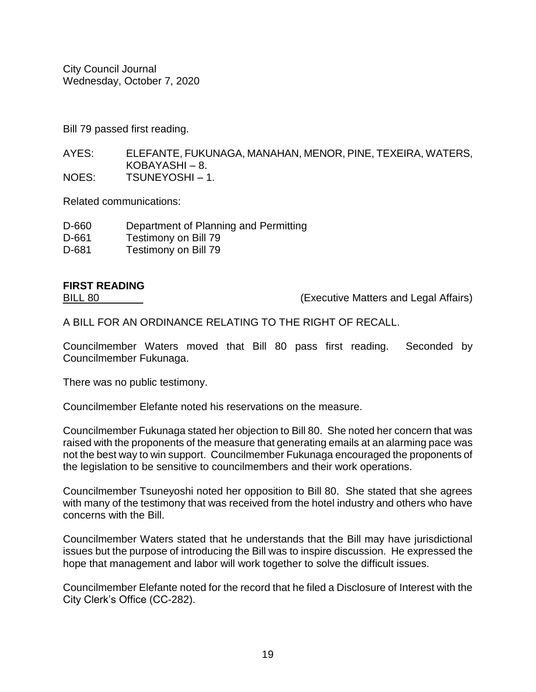Bill 79 passed first reading.

AYES: ELEFANTE, FUKUNAGA, MANAHAN, MENOR, PINE, TEXEIRA, WATERS, KOBAYASHI – 8. NOES: TSUNEYOSHI – 1.

Related communications:

| D-660 | Department of Planning and Permitting |
|-------|---------------------------------------|
|       |                                       |

- D-661 Testimony on Bill 79
- D-681 Testimony on Bill 79

# **FIRST READING**

BILL 80 (Executive Matters and Legal Affairs)

A BILL FOR AN ORDINANCE RELATING TO THE RIGHT OF RECALL.

Councilmember Waters moved that Bill 80 pass first reading. Seconded by Councilmember Fukunaga.

There was no public testimony.

Councilmember Elefante noted his reservations on the measure.

Councilmember Fukunaga stated her objection to Bill 80. She noted her concern that was raised with the proponents of the measure that generating emails at an alarming pace was not the best way to win support. Councilmember Fukunaga encouraged the proponents of the legislation to be sensitive to councilmembers and their work operations.

Councilmember Tsuneyoshi noted her opposition to Bill 80. She stated that she agrees with many of the testimony that was received from the hotel industry and others who have concerns with the Bill.

Councilmember Waters stated that he understands that the Bill may have jurisdictional issues but the purpose of introducing the Bill was to inspire discussion. He expressed the hope that management and labor will work together to solve the difficult issues.

Councilmember Elefante noted for the record that he filed a Disclosure of Interest with the City Clerk's Office (CC-282).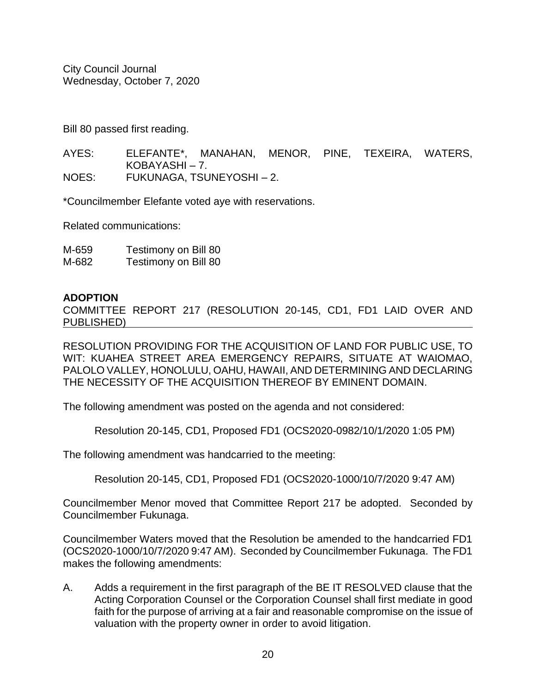Bill 80 passed first reading.

AYES: ELEFANTE\*, MANAHAN, MENOR, PINE, TEXEIRA, WATERS, KOBAYASHI – 7. NOES: FUKUNAGA, TSUNEYOSHI – 2.

\*Councilmember Elefante voted aye with reservations.

Related communications:

M-659 Testimony on Bill 80 M-682 Testimony on Bill 80

#### **ADOPTION**

COMMITTEE REPORT 217 (RESOLUTION 20-145, CD1, FD1 LAID OVER AND PUBLISHED)

RESOLUTION PROVIDING FOR THE ACQUISITION OF LAND FOR PUBLIC USE, TO WIT: KUAHEA STREET AREA EMERGENCY REPAIRS, SITUATE AT WAIOMAO, PALOLO VALLEY, HONOLULU, OAHU, HAWAII, AND DETERMINING AND DECLARING THE NECESSITY OF THE ACQUISITION THEREOF BY EMINENT DOMAIN.

The following amendment was posted on the agenda and not considered:

Resolution 20-145, CD1, Proposed FD1 (OCS2020-0982/10/1/2020 1:05 PM)

The following amendment was handcarried to the meeting:

Resolution 20-145, CD1, Proposed FD1 (OCS2020-1000/10/7/2020 9:47 AM)

Councilmember Menor moved that Committee Report 217 be adopted. Seconded by Councilmember Fukunaga.

Councilmember Waters moved that the Resolution be amended to the handcarried FD1 (OCS2020-1000/10/7/2020 9:47 AM). Seconded by Councilmember Fukunaga. The FD1 makes the following amendments:

A. Adds a requirement in the first paragraph of the BE IT RESOLVED clause that the Acting Corporation Counsel or the Corporation Counsel shall first mediate in good faith for the purpose of arriving at a fair and reasonable compromise on the issue of valuation with the property owner in order to avoid litigation.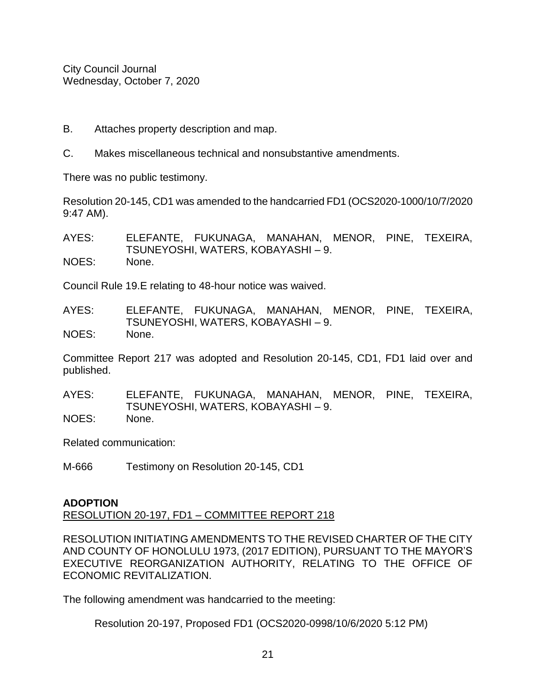- B. Attaches property description and map.
- C. Makes miscellaneous technical and nonsubstantive amendments.

There was no public testimony.

Resolution 20-145, CD1 was amended to the handcarried FD1 (OCS2020-1000/10/7/2020 9:47 AM).

AYES: ELEFANTE, FUKUNAGA, MANAHAN, MENOR, PINE, TEXEIRA, TSUNEYOSHI, WATERS, KOBAYASHI – 9. NOES: None.

Council Rule 19.E relating to 48-hour notice was waived.

AYES: ELEFANTE, FUKUNAGA, MANAHAN, MENOR, PINE, TEXEIRA, TSUNEYOSHI, WATERS, KOBAYASHI – 9. NOES: None.

Committee Report 217 was adopted and Resolution 20-145, CD1, FD1 laid over and published.

AYES: ELEFANTE, FUKUNAGA, MANAHAN, MENOR, PINE, TEXEIRA, TSUNEYOSHI, WATERS, KOBAYASHI – 9. NOES: None.

Related communication:

M-666 Testimony on Resolution 20-145, CD1

# **ADOPTION**

RESOLUTION 20-197, FD1 – COMMITTEE REPORT 218

RESOLUTION INITIATING AMENDMENTS TO THE REVISED CHARTER OF THE CITY AND COUNTY OF HONOLULU 1973, (2017 EDITION), PURSUANT TO THE MAYOR'S EXECUTIVE REORGANIZATION AUTHORITY, RELATING TO THE OFFICE OF ECONOMIC REVITALIZATION.

The following amendment was handcarried to the meeting:

Resolution 20-197, Proposed FD1 (OCS2020-0998/10/6/2020 5:12 PM)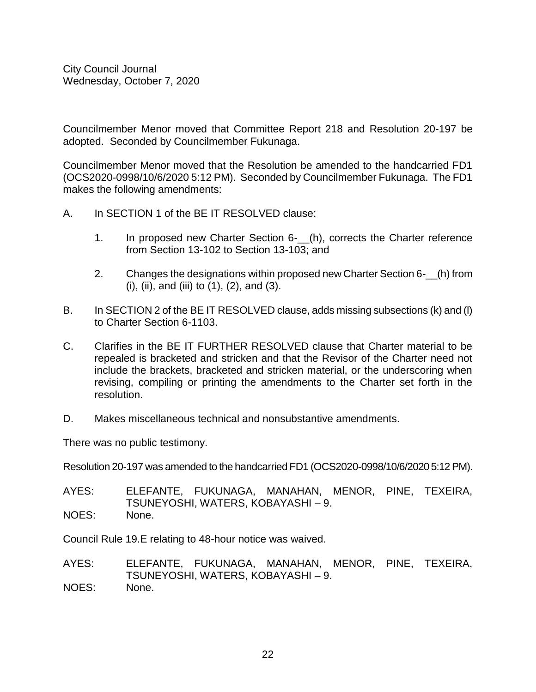Councilmember Menor moved that Committee Report 218 and Resolution 20-197 be adopted. Seconded by Councilmember Fukunaga.

Councilmember Menor moved that the Resolution be amended to the handcarried FD1 (OCS2020-0998/10/6/2020 5:12 PM). Seconded by Councilmember Fukunaga. The FD1 makes the following amendments:

- A. In SECTION 1 of the BE IT RESOLVED clause:
	- 1. In proposed new Charter Section 6- (h), corrects the Charter reference from Section 13-102 to Section 13-103; and
	- 2. Changes the designations within proposed new Charter Section 6- $(h)$  from (i), (ii), and (iii) to  $(1)$ ,  $(2)$ , and  $(3)$ .
- B. In SECTION 2 of the BE IT RESOLVED clause, adds missing subsections (k) and (l) to Charter Section 6-1103.
- C. Clarifies in the BE IT FURTHER RESOLVED clause that Charter material to be repealed is bracketed and stricken and that the Revisor of the Charter need not include the brackets, bracketed and stricken material, or the underscoring when revising, compiling or printing the amendments to the Charter set forth in the resolution.
- D. Makes miscellaneous technical and nonsubstantive amendments.

There was no public testimony.

Resolution 20-197 was amended to the handcarried FD1 (OCS2020-0998/10/6/2020 5:12 PM).

AYES: ELEFANTE, FUKUNAGA, MANAHAN, MENOR, PINE, TEXEIRA, TSUNEYOSHI, WATERS, KOBAYASHI – 9. NOES: None.

Council Rule 19.E relating to 48-hour notice was waived.

AYES: ELEFANTE, FUKUNAGA, MANAHAN, MENOR, PINE, TEXEIRA, TSUNEYOSHI, WATERS, KOBAYASHI – 9. NOES: None.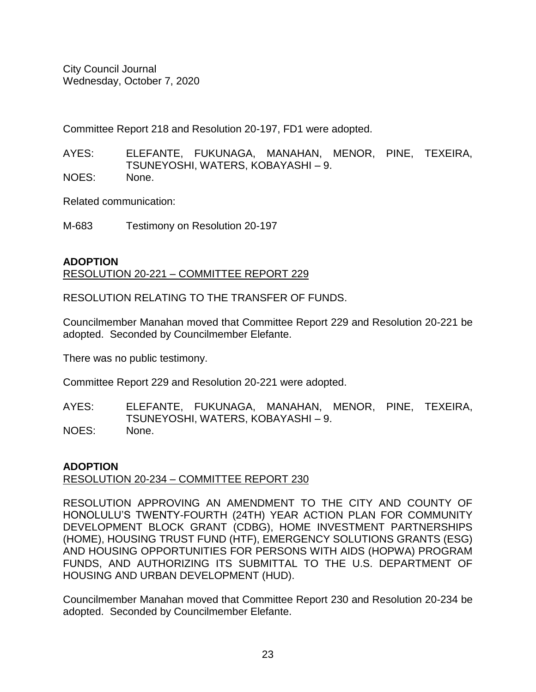Committee Report 218 and Resolution 20-197, FD1 were adopted.

AYES: ELEFANTE, FUKUNAGA, MANAHAN, MENOR, PINE, TEXEIRA, TSUNEYOSHI, WATERS, KOBAYASHI – 9. NOES: None.

Related communication:

M-683 Testimony on Resolution 20-197

### **ADOPTION** RESOLUTION 20-221 – COMMITTEE REPORT 229

RESOLUTION RELATING TO THE TRANSFER OF FUNDS.

Councilmember Manahan moved that Committee Report 229 and Resolution 20-221 be adopted. Seconded by Councilmember Elefante.

There was no public testimony.

Committee Report 229 and Resolution 20-221 were adopted.

AYES: ELEFANTE, FUKUNAGA, MANAHAN, MENOR, PINE, TEXEIRA, TSUNEYOSHI, WATERS, KOBAYASHI – 9. NOES: None.

# **ADOPTION**

# RESOLUTION 20-234 – COMMITTEE REPORT 230

RESOLUTION APPROVING AN AMENDMENT TO THE CITY AND COUNTY OF HONOLULU'S TWENTY-FOURTH (24TH) YEAR ACTION PLAN FOR COMMUNITY DEVELOPMENT BLOCK GRANT (CDBG), HOME INVESTMENT PARTNERSHIPS (HOME), HOUSING TRUST FUND (HTF), EMERGENCY SOLUTIONS GRANTS (ESG) AND HOUSING OPPORTUNITIES FOR PERSONS WITH AIDS (HOPWA) PROGRAM FUNDS, AND AUTHORIZING ITS SUBMITTAL TO THE U.S. DEPARTMENT OF HOUSING AND URBAN DEVELOPMENT (HUD).

Councilmember Manahan moved that Committee Report 230 and Resolution 20-234 be adopted. Seconded by Councilmember Elefante.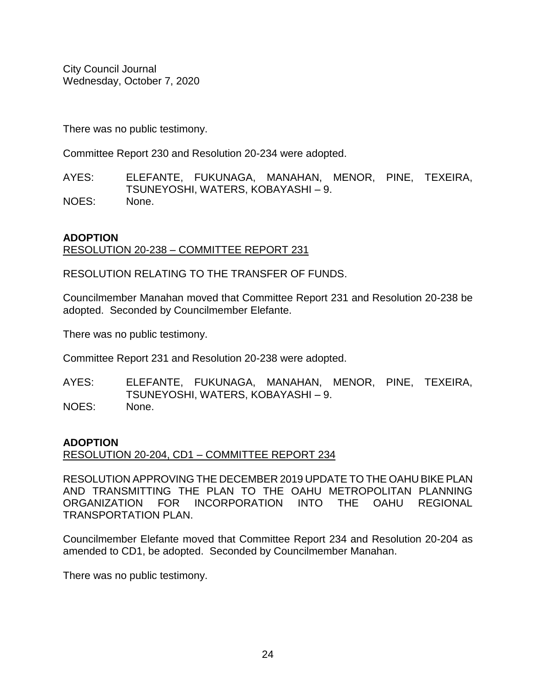There was no public testimony.

Committee Report 230 and Resolution 20-234 were adopted.

AYES: ELEFANTE, FUKUNAGA, MANAHAN, MENOR, PINE, TEXEIRA, TSUNEYOSHI, WATERS, KOBAYASHI – 9. NOES: None.

#### **ADOPTION**

RESOLUTION 20-238 – COMMITTEE REPORT 231

RESOLUTION RELATING TO THE TRANSFER OF FUNDS.

Councilmember Manahan moved that Committee Report 231 and Resolution 20-238 be adopted. Seconded by Councilmember Elefante.

There was no public testimony.

Committee Report 231 and Resolution 20-238 were adopted.

AYES: ELEFANTE, FUKUNAGA, MANAHAN, MENOR, PINE, TEXEIRA, TSUNEYOSHI, WATERS, KOBAYASHI – 9. NOES: None.

#### **ADOPTION**

RESOLUTION 20-204, CD1 – COMMITTEE REPORT 234

RESOLUTION APPROVING THE DECEMBER 2019 UPDATE TO THE OAHU BIKE PLAN AND TRANSMITTING THE PLAN TO THE OAHU METROPOLITAN PLANNING ORGANIZATION FOR INCORPORATION INTO THE OAHU REGIONAL TRANSPORTATION PLAN.

Councilmember Elefante moved that Committee Report 234 and Resolution 20-204 as amended to CD1, be adopted. Seconded by Councilmember Manahan.

There was no public testimony.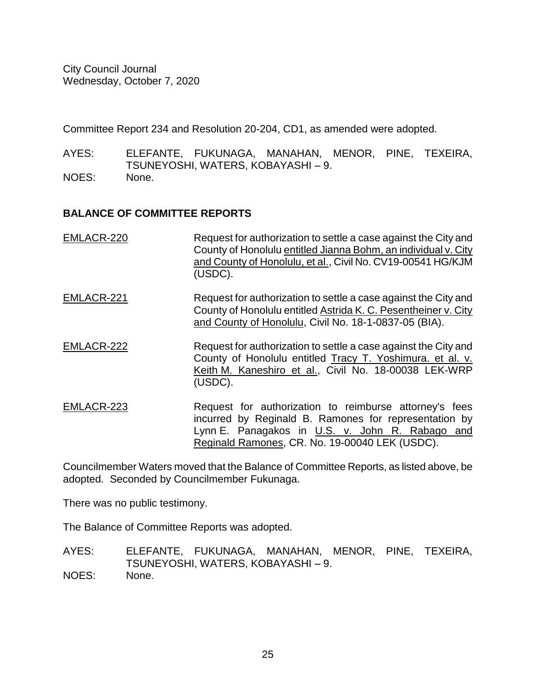Committee Report 234 and Resolution 20-204, CD1, as amended were adopted.

AYES: ELEFANTE, FUKUNAGA, MANAHAN, MENOR, PINE, TEXEIRA, TSUNEYOSHI, WATERS, KOBAYASHI – 9.

NOES: None.

# **BALANCE OF COMMITTEE REPORTS**

| EMLACR-220 | Request for authorization to settle a case against the City and<br>County of Honolulu entitled Jianna Bohm, an individual v. City<br>and County of Honolulu, et al., Civil No. CV19-00541 HG/KJM<br>(USDC). |
|------------|-------------------------------------------------------------------------------------------------------------------------------------------------------------------------------------------------------------|
| EMLACR-221 | Request for authorization to settle a case against the City and<br>County of Honolulu entitled Astrida K. C. Pesentheiner v. City<br>and County of Honolulu, Civil No. 18-1-0837-05 (BIA).                  |
| EMLACR-222 | Request for authorization to settle a case against the City and<br>County of Honolulu entitled Tracy T. Yoshimura. et al. v.<br>Keith M. Kaneshiro et al., Civil No. 18-00038 LEK-WRP<br>(USDC).            |
| EMLACR-223 | Request for authorization to reimburse attorney's fees<br>incurred by Reginald B. Ramones for representation by                                                                                             |

Lynn E. Panagakos in U.S. v. John R. Rabago and Reginald Ramones, CR. No. 19-00040 LEK (USDC).

Councilmember Waters moved that the Balance of Committee Reports, as listed above, be adopted. Seconded by Councilmember Fukunaga.

There was no public testimony.

The Balance of Committee Reports was adopted.

AYES: ELEFANTE, FUKUNAGA, MANAHAN, MENOR, PINE, TEXEIRA, TSUNEYOSHI, WATERS, KOBAYASHI – 9. NOES: None.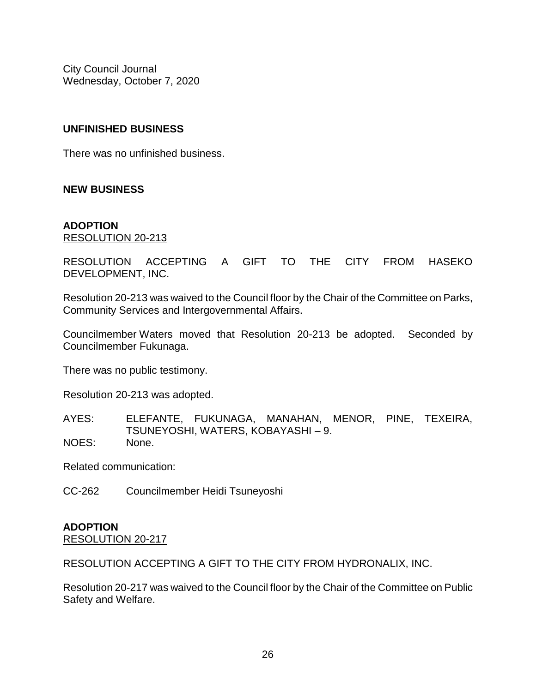# **UNFINISHED BUSINESS**

There was no unfinished business.

# **NEW BUSINESS**

#### **ADOPTION** RESOLUTION 20-213

RESOLUTION ACCEPTING A GIFT TO THE CITY FROM HASEKO DEVELOPMENT, INC.

Resolution 20-213 was waived to the Council floor by the Chair of the Committee on Parks, Community Services and Intergovernmental Affairs.

Councilmember Waters moved that Resolution 20-213 be adopted. Seconded by Councilmember Fukunaga.

There was no public testimony.

Resolution 20-213 was adopted.

AYES: ELEFANTE, FUKUNAGA, MANAHAN, MENOR, PINE, TEXEIRA, TSUNEYOSHI, WATERS, KOBAYASHI – 9. NOES: None.

Related communication:

CC-262 Councilmember Heidi Tsuneyoshi

# **ADOPTION**

RESOLUTION 20-217

RESOLUTION ACCEPTING A GIFT TO THE CITY FROM HYDRONALIX, INC.

Resolution 20-217 was waived to the Council floor by the Chair of the Committee on Public Safety and Welfare.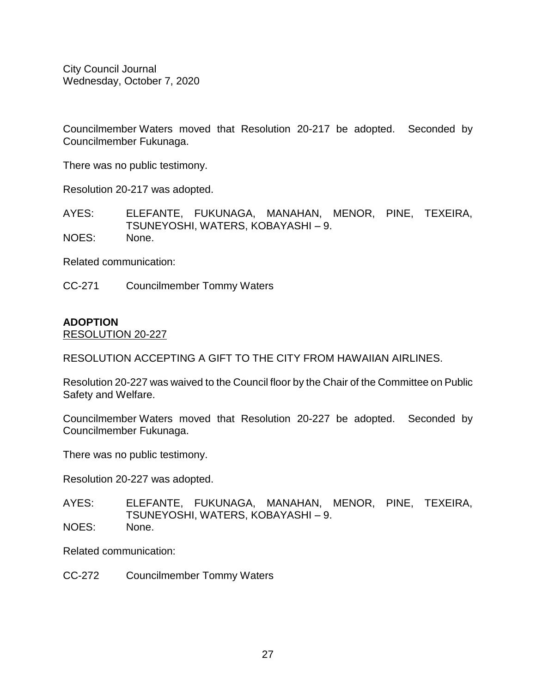Councilmember Waters moved that Resolution 20-217 be adopted. Seconded by Councilmember Fukunaga.

There was no public testimony.

Resolution 20-217 was adopted.

AYES: ELEFANTE, FUKUNAGA, MANAHAN, MENOR, PINE, TEXEIRA, TSUNEYOSHI, WATERS, KOBAYASHI – 9. NOES: None.

Related communication:

CC-271 Councilmember Tommy Waters

#### **ADOPTION**

RESOLUTION 20-227

RESOLUTION ACCEPTING A GIFT TO THE CITY FROM HAWAIIAN AIRLINES.

Resolution 20-227 was waived to the Council floor by the Chair of the Committee on Public Safety and Welfare.

Councilmember Waters moved that Resolution 20-227 be adopted. Seconded by Councilmember Fukunaga.

There was no public testimony.

Resolution 20-227 was adopted.

AYES: ELEFANTE, FUKUNAGA, MANAHAN, MENOR, PINE, TEXEIRA, TSUNEYOSHI, WATERS, KOBAYASHI – 9. NOES: None.

Related communication:

CC-272 Councilmember Tommy Waters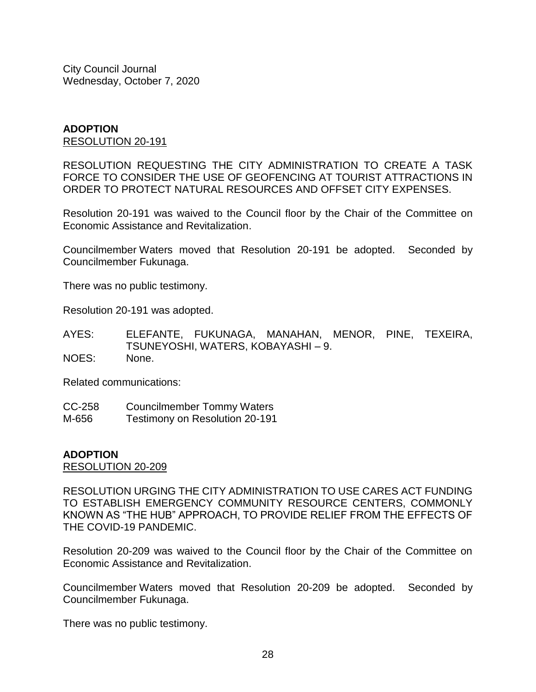#### **ADOPTION** RESOLUTION 20-191

RESOLUTION REQUESTING THE CITY ADMINISTRATION TO CREATE A TASK FORCE TO CONSIDER THE USE OF GEOFENCING AT TOURIST ATTRACTIONS IN ORDER TO PROTECT NATURAL RESOURCES AND OFFSET CITY EXPENSES.

Resolution 20-191 was waived to the Council floor by the Chair of the Committee on Economic Assistance and Revitalization.

Councilmember Waters moved that Resolution 20-191 be adopted. Seconded by Councilmember Fukunaga.

There was no public testimony.

Resolution 20-191 was adopted.

AYES: ELEFANTE, FUKUNAGA, MANAHAN, MENOR, PINE, TEXEIRA, TSUNEYOSHI, WATERS, KOBAYASHI – 9. NOES: None.

Related communications:

CC-258 Councilmember Tommy Waters M-656 Testimony on Resolution 20-191

#### **ADOPTION**

RESOLUTION 20-209

RESOLUTION URGING THE CITY ADMINISTRATION TO USE CARES ACT FUNDING TO ESTABLISH EMERGENCY COMMUNITY RESOURCE CENTERS, COMMONLY KNOWN AS "THE HUB" APPROACH, TO PROVIDE RELIEF FROM THE EFFECTS OF THE COVID-19 PANDEMIC.

Resolution 20-209 was waived to the Council floor by the Chair of the Committee on Economic Assistance and Revitalization.

Councilmember Waters moved that Resolution 20-209 be adopted. Seconded by Councilmember Fukunaga.

There was no public testimony.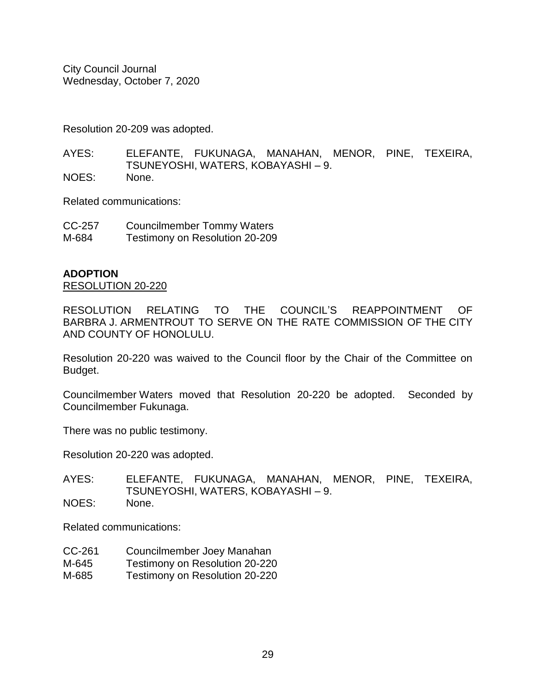Resolution 20-209 was adopted.

AYES: ELEFANTE, FUKUNAGA, MANAHAN, MENOR, PINE, TEXEIRA, TSUNEYOSHI, WATERS, KOBAYASHI – 9. NOES: None.

Related communications:

| CC-257 | <b>Councilmember Tommy Waters</b> |
|--------|-----------------------------------|
| M-684  | Testimony on Resolution 20-209    |

#### **ADOPTION**

RESOLUTION 20-220

RESOLUTION RELATING TO THE COUNCIL'S REAPPOINTMENT OF BARBRA J. ARMENTROUT TO SERVE ON THE RATE COMMISSION OF THE CITY AND COUNTY OF HONOLULU.

Resolution 20-220 was waived to the Council floor by the Chair of the Committee on Budget.

Councilmember Waters moved that Resolution 20-220 be adopted. Seconded by Councilmember Fukunaga.

There was no public testimony.

Resolution 20-220 was adopted.

AYES: ELEFANTE, FUKUNAGA, MANAHAN, MENOR, PINE, TEXEIRA, TSUNEYOSHI, WATERS, KOBAYASHI – 9. NOES: None.

Related communications:

- CC-261 Councilmember Joey Manahan
- M-645 Testimony on Resolution 20-220
- M-685 Testimony on Resolution 20-220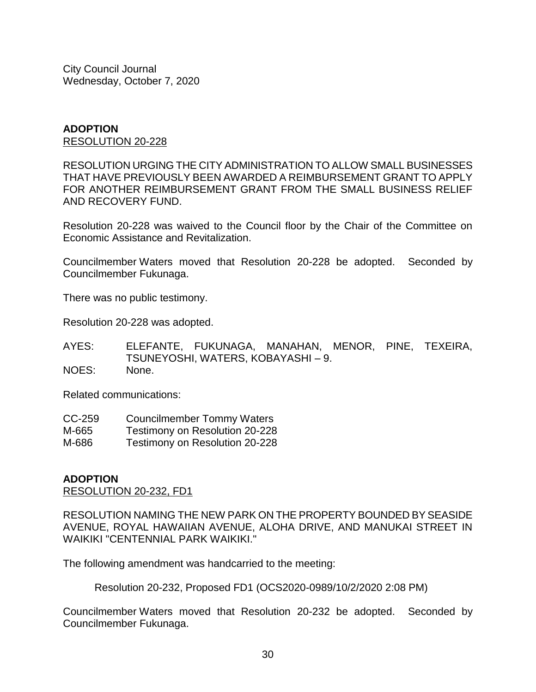#### **ADOPTION** RESOLUTION 20-228

RESOLUTION URGING THE CITY ADMINISTRATION TO ALLOW SMALL BUSINESSES THAT HAVE PREVIOUSLY BEEN AWARDED A REIMBURSEMENT GRANT TO APPLY FOR ANOTHER REIMBURSEMENT GRANT FROM THE SMALL BUSINESS RELIEF AND RECOVERY FUND.

Resolution 20-228 was waived to the Council floor by the Chair of the Committee on Economic Assistance and Revitalization.

Councilmember Waters moved that Resolution 20-228 be adopted. Seconded by Councilmember Fukunaga.

There was no public testimony.

Resolution 20-228 was adopted.

AYES: ELEFANTE, FUKUNAGA, MANAHAN, MENOR, PINE, TEXEIRA, TSUNEYOSHI, WATERS, KOBAYASHI – 9. NOES: None.

Related communications:

| CC-259 | <b>Councilmember Tommy Waters</b> |  |
|--------|-----------------------------------|--|
|        |                                   |  |

- M-665 Testimony on Resolution 20-228
- M-686 Testimony on Resolution 20-228

#### **ADOPTION**

RESOLUTION 20-232, FD1

RESOLUTION NAMING THE NEW PARK ON THE PROPERTY BOUNDED BY SEASIDE AVENUE, ROYAL HAWAIIAN AVENUE, ALOHA DRIVE, AND MANUKAI STREET IN WAIKIKI "CENTENNIAL PARK WAIKIKI."

The following amendment was handcarried to the meeting:

Resolution 20-232, Proposed FD1 (OCS2020-0989/10/2/2020 2:08 PM)

Councilmember Waters moved that Resolution 20-232 be adopted. Seconded by Councilmember Fukunaga.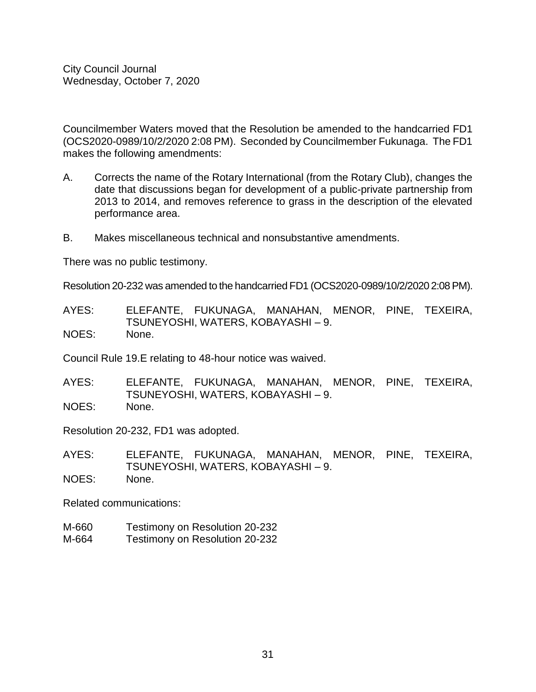Councilmember Waters moved that the Resolution be amended to the handcarried FD1 (OCS2020-0989/10/2/2020 2:08 PM). Seconded by Councilmember Fukunaga. The FD1 makes the following amendments:

- A. Corrects the name of the Rotary International (from the Rotary Club), changes the date that discussions began for development of a public-private partnership from 2013 to 2014, and removes reference to grass in the description of the elevated performance area.
- B. Makes miscellaneous technical and nonsubstantive amendments.

There was no public testimony.

Resolution 20-232 was amended to the handcarried FD1 (OCS2020-0989/10/2/2020 2:08 PM).

AYES: ELEFANTE, FUKUNAGA, MANAHAN, MENOR, PINE, TEXEIRA, TSUNEYOSHI, WATERS, KOBAYASHI – 9. NOES: None.

Council Rule 19.E relating to 48-hour notice was waived.

AYES: ELEFANTE, FUKUNAGA, MANAHAN, MENOR, PINE, TEXEIRA, TSUNEYOSHI, WATERS, KOBAYASHI – 9. NOES: None.

Resolution 20-232, FD1 was adopted.

AYES: ELEFANTE, FUKUNAGA, MANAHAN, MENOR, PINE, TEXEIRA, TSUNEYOSHI, WATERS, KOBAYASHI – 9. NOES: None.

Related communications:

- M-660 Testimony on Resolution 20-232
- M-664 Testimony on Resolution 20-232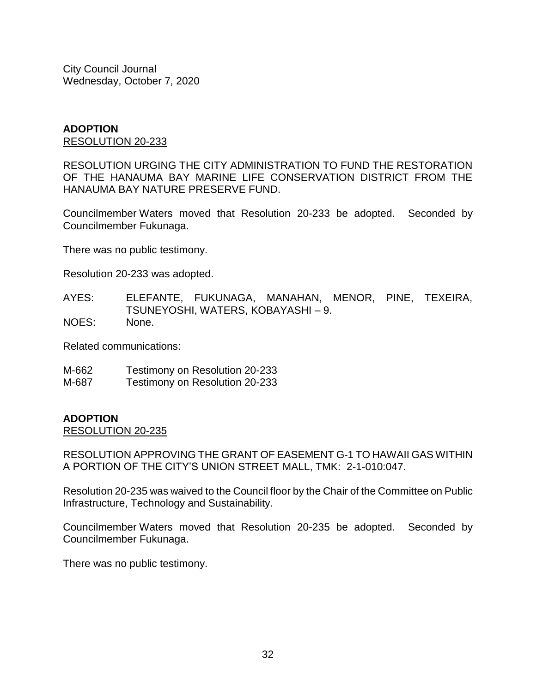#### **ADOPTION** RESOLUTION 20-233

RESOLUTION URGING THE CITY ADMINISTRATION TO FUND THE RESTORATION OF THE HANAUMA BAY MARINE LIFE CONSERVATION DISTRICT FROM THE HANAUMA BAY NATURE PRESERVE FUND.

Councilmember Waters moved that Resolution 20-233 be adopted. Seconded by Councilmember Fukunaga.

There was no public testimony.

Resolution 20-233 was adopted.

AYES: ELEFANTE, FUKUNAGA, MANAHAN, MENOR, PINE, TEXEIRA, TSUNEYOSHI, WATERS, KOBAYASHI – 9. NOES: None.

Related communications:

M-662 Testimony on Resolution 20-233

M-687 Testimony on Resolution 20-233

#### **ADOPTION**

RESOLUTION 20-235

RESOLUTION APPROVING THE GRANT OF EASEMENT G-1 TO HAWAII GAS WITHIN A PORTION OF THE CITY'S UNION STREET MALL, TMK: 2-1-010:047.

Resolution 20-235 was waived to the Council floor by the Chair of the Committee on Public Infrastructure, Technology and Sustainability.

Councilmember Waters moved that Resolution 20-235 be adopted. Seconded by Councilmember Fukunaga.

There was no public testimony.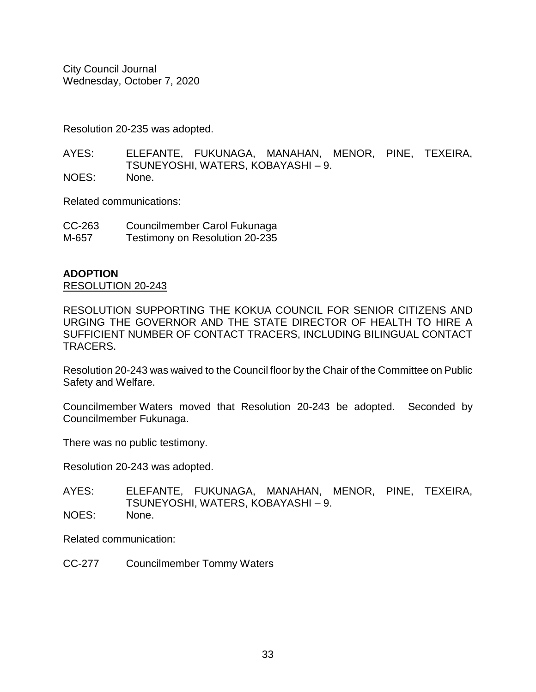Resolution 20-235 was adopted.

AYES: ELEFANTE, FUKUNAGA, MANAHAN, MENOR, PINE, TEXEIRA, TSUNEYOSHI, WATERS, KOBAYASHI – 9. NOES: None.

Related communications:

| CC-263 | Councilmember Carol Fukunaga   |
|--------|--------------------------------|
| M-657  | Testimony on Resolution 20-235 |

#### **ADOPTION**

RESOLUTION 20-243

RESOLUTION SUPPORTING THE KOKUA COUNCIL FOR SENIOR CITIZENS AND URGING THE GOVERNOR AND THE STATE DIRECTOR OF HEALTH TO HIRE A SUFFICIENT NUMBER OF CONTACT TRACERS, INCLUDING BILINGUAL CONTACT TRACERS.

Resolution 20-243 was waived to the Council floor by the Chair of the Committee on Public Safety and Welfare.

Councilmember Waters moved that Resolution 20-243 be adopted. Seconded by Councilmember Fukunaga.

There was no public testimony.

Resolution 20-243 was adopted.

AYES: ELEFANTE, FUKUNAGA, MANAHAN, MENOR, PINE, TEXEIRA, TSUNEYOSHI, WATERS, KOBAYASHI – 9. NOES: None.

Related communication:

CC-277 Councilmember Tommy Waters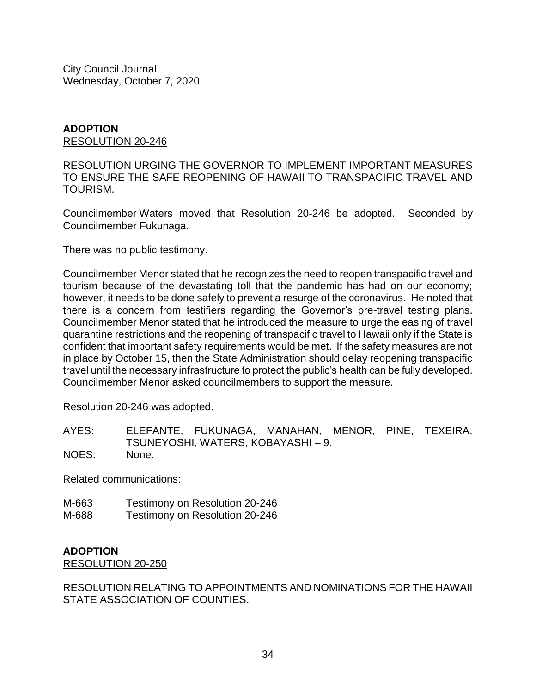### **ADOPTION** RESOLUTION 20-246

RESOLUTION URGING THE GOVERNOR TO IMPLEMENT IMPORTANT MEASURES TO ENSURE THE SAFE REOPENING OF HAWAII TO TRANSPACIFIC TRAVEL AND TOURISM.

Councilmember Waters moved that Resolution 20-246 be adopted. Seconded by Councilmember Fukunaga.

There was no public testimony.

Councilmember Menor stated that he recognizes the need to reopen transpacific travel and tourism because of the devastating toll that the pandemic has had on our economy; however, it needs to be done safely to prevent a resurge of the coronavirus. He noted that there is a concern from testifiers regarding the Governor's pre-travel testing plans. Councilmember Menor stated that he introduced the measure to urge the easing of travel quarantine restrictions and the reopening of transpacific travel to Hawaii only if the State is confident that important safety requirements would be met. If the safety measures are not in place by October 15, then the State Administration should delay reopening transpacific travel until the necessary infrastructure to protect the public's health can be fully developed. Councilmember Menor asked councilmembers to support the measure.

Resolution 20-246 was adopted.

| AYES: | ELEFANTE, FUKUNAGA, MANAHAN, MENOR, PINE, TEXEIRA, |  |  |
|-------|----------------------------------------------------|--|--|
|       | TSUNEYOSHI, WATERS, KOBAYASHI - 9.                 |  |  |
| .     |                                                    |  |  |

NOES: None.

Related communications:

M-663 Testimony on Resolution 20-246 M-688 Testimony on Resolution 20-246

# **ADOPTION**

RESOLUTION 20-250

RESOLUTION RELATING TO APPOINTMENTS AND NOMINATIONS FOR THE HAWAII STATE ASSOCIATION OF COUNTIES.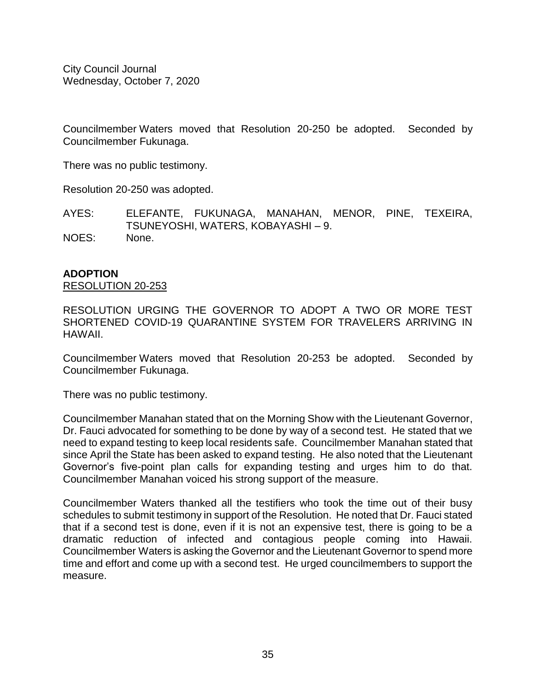Councilmember Waters moved that Resolution 20-250 be adopted. Seconded by Councilmember Fukunaga.

There was no public testimony.

Resolution 20-250 was adopted.

AYES: ELEFANTE, FUKUNAGA, MANAHAN, MENOR, PINE, TEXEIRA, TSUNEYOSHI, WATERS, KOBAYASHI – 9. NOES: None.

# **ADOPTION**

RESOLUTION 20-253

RESOLUTION URGING THE GOVERNOR TO ADOPT A TWO OR MORE TEST SHORTENED COVID-19 QUARANTINE SYSTEM FOR TRAVELERS ARRIVING IN HAWAII.

Councilmember Waters moved that Resolution 20-253 be adopted. Seconded by Councilmember Fukunaga.

There was no public testimony.

Councilmember Manahan stated that on the Morning Show with the Lieutenant Governor, Dr. Fauci advocated for something to be done by way of a second test. He stated that we need to expand testing to keep local residents safe. Councilmember Manahan stated that since April the State has been asked to expand testing. He also noted that the Lieutenant Governor's five-point plan calls for expanding testing and urges him to do that. Councilmember Manahan voiced his strong support of the measure.

Councilmember Waters thanked all the testifiers who took the time out of their busy schedules to submit testimony in support of the Resolution. He noted that Dr. Fauci stated that if a second test is done, even if it is not an expensive test, there is going to be a dramatic reduction of infected and contagious people coming into Hawaii. Councilmember Waters is asking the Governor and the Lieutenant Governor to spend more time and effort and come up with a second test. He urged councilmembers to support the measure.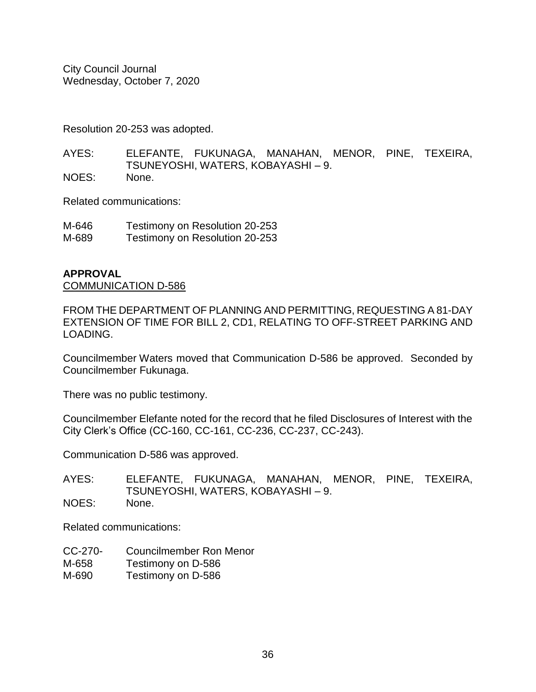Resolution 20-253 was adopted.

AYES: ELEFANTE, FUKUNAGA, MANAHAN, MENOR, PINE, TEXEIRA, TSUNEYOSHI, WATERS, KOBAYASHI – 9. NOES: None.

Related communications:

| M-646 | Testimony on Resolution 20-253 |
|-------|--------------------------------|
| M-689 | Testimony on Resolution 20-253 |

### **APPROVAL**

COMMUNICATION D-586

FROM THE DEPARTMENT OF PLANNING AND PERMITTING, REQUESTING A 81-DAY EXTENSION OF TIME FOR BILL 2, CD1, RELATING TO OFF-STREET PARKING AND LOADING.

Councilmember Waters moved that Communication D-586 be approved. Seconded by Councilmember Fukunaga.

There was no public testimony.

Councilmember Elefante noted for the record that he filed Disclosures of Interest with the City Clerk's Office (CC-160, CC-161, CC-236, CC-237, CC-243).

Communication D-586 was approved.

AYES: ELEFANTE, FUKUNAGA, MANAHAN, MENOR, PINE, TEXEIRA, TSUNEYOSHI, WATERS, KOBAYASHI – 9. NOES: None.

Related communications:

CC-270- Councilmember Ron Menor M-658 Testimony on D-586 M-690 Testimony on D-586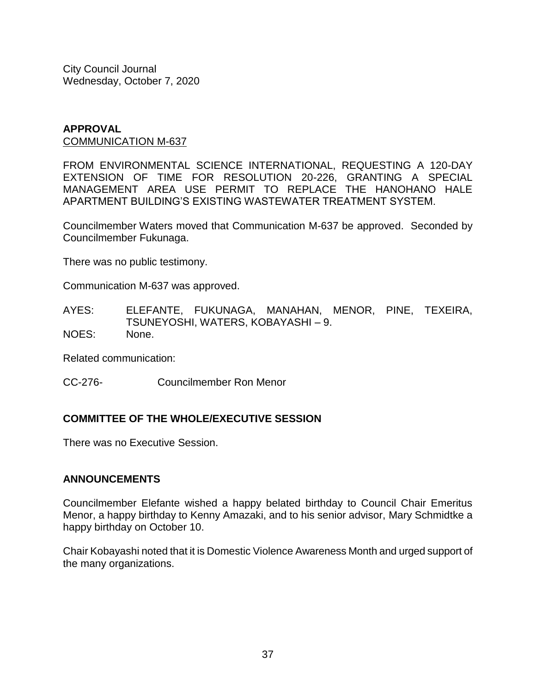#### **APPROVAL** COMMUNICATION M-637

FROM ENVIRONMENTAL SCIENCE INTERNATIONAL, REQUESTING A 120-DAY EXTENSION OF TIME FOR RESOLUTION 20-226, GRANTING A SPECIAL MANAGEMENT AREA USE PERMIT TO REPLACE THE HANOHANO HALE APARTMENT BUILDING'S EXISTING WASTEWATER TREATMENT SYSTEM.

Councilmember Waters moved that Communication M-637 be approved. Seconded by Councilmember Fukunaga.

There was no public testimony.

Communication M-637 was approved.

AYES: ELEFANTE, FUKUNAGA, MANAHAN, MENOR, PINE, TEXEIRA, TSUNEYOSHI, WATERS, KOBAYASHI – 9. NOES: None.

Related communication:

CC-276- Councilmember Ron Menor

# **COMMITTEE OF THE WHOLE/EXECUTIVE SESSION**

There was no Executive Session.

# **ANNOUNCEMENTS**

Councilmember Elefante wished a happy belated birthday to Council Chair Emeritus Menor, a happy birthday to Kenny Amazaki, and to his senior advisor, Mary Schmidtke a happy birthday on October 10.

Chair Kobayashi noted that it is Domestic Violence Awareness Month and urged support of the many organizations.